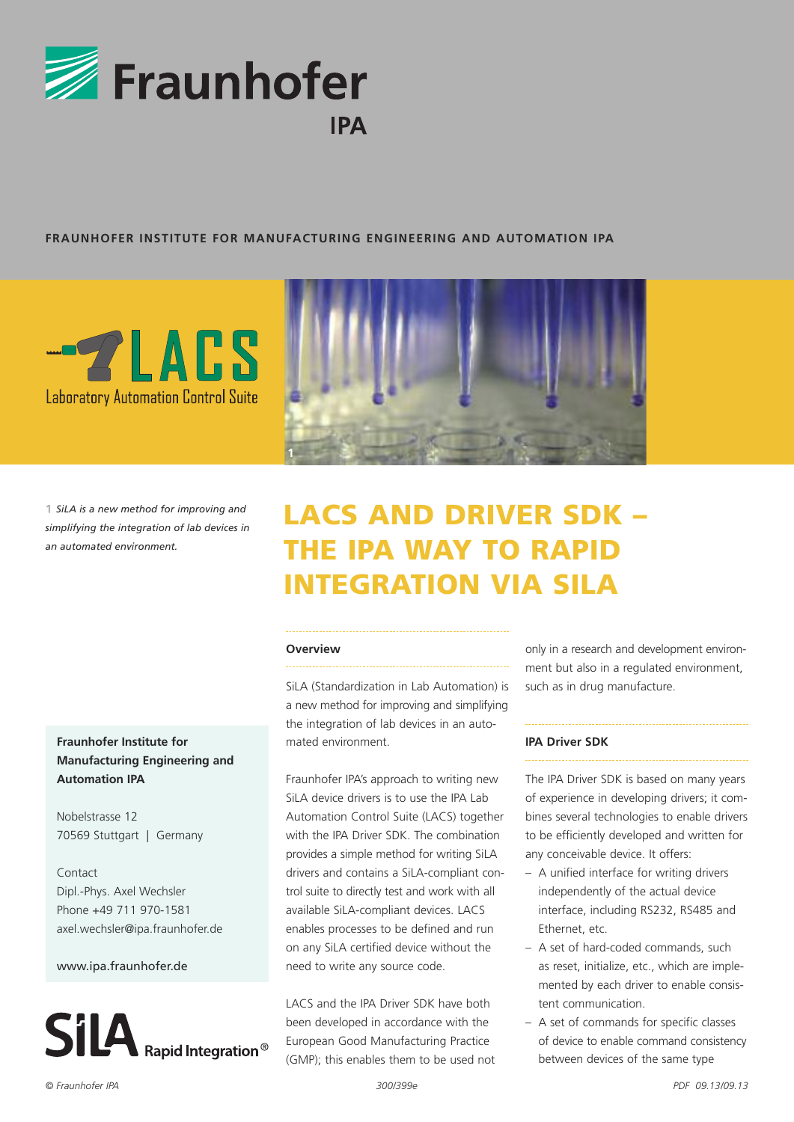

### **FRAUNHOFER INSTITUTE FOR MANUFACTURING ENGINEERING AND AUTOMATION IPA**



*SiLA is a new method for improving and simplifying the integration of lab devices in an automated environment.*

# **Fraunhofer Institute for Manufacturing Engineering and Automation IPA**

Nobelstrasse 12 70569 Stuttgart | Germany

Contact Dipl.-Phys. Axel Wechsler Phone +49 711 970-1581 axel.wechsler@ipa.fraunhofer.de

#### www.ipa.fraunhofer.de



# LACS AND DRIVER SDK – THE IPA WAY TO RAPID INTEGRATION VIA SILA

#### **Overview**

**1**

SiLA (Standardization in Lab Automation) is a new method for improving and simplifying the integration of lab devices in an automated environment.

Fraunhofer IPA's approach to writing new SiLA device drivers is to use the IPA Lab Automation Control Suite (LACS) together with the IPA Driver SDK. The combination provides a simple method for writing SiLA drivers and contains a SiLA-compliant control suite to directly test and work with all available SiLA-compliant devices. LACS enables processes to be defined and run on any SiLA certified device without the need to write any source code.

LACS and the IPA Driver SDK have both been developed in accordance with the European Good Manufacturing Practice (GMP); this enables them to be used not only in a research and development environment but also in a regulated environment, such as in drug manufacture.

#### **IPA Driver SDK**

The IPA Driver SDK is based on many years of experience in developing drivers; it combines several technologies to enable drivers to be efficiently developed and written for any conceivable device. It offers:

- A unified interface for writing drivers independently of the actual device interface, including RS232, RS485 and Ethernet, etc.
- A set of hard-coded commands, such as reset, initialize, etc., which are implemented by each driver to enable consistent communication.
- A set of commands for specific classes of device to enable command consistency between devices of the same type